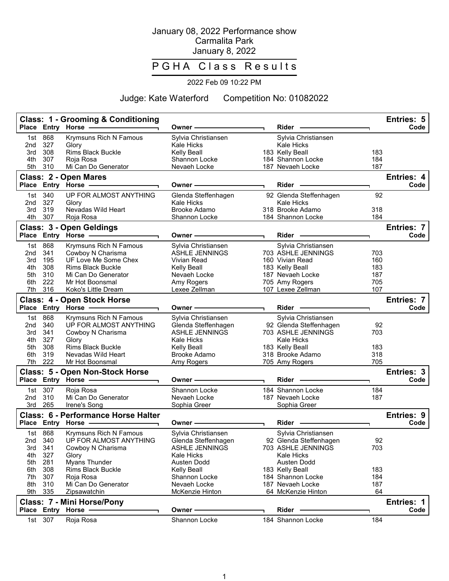## January 08, 2022 Performance show Carmalita Park January 8, 2022

## P G H A Class Results

## 2022 Feb 09 10:22 PM

Judge: Kate Waterford Competition No: 01082022

|            |                | <b>Class: 1 - Grooming &amp; Conditioning</b><br>Place Entry Horse -                                          |                               |    |                                      |            | Entries: 5 |
|------------|----------------|---------------------------------------------------------------------------------------------------------------|-------------------------------|----|--------------------------------------|------------|------------|
|            |                |                                                                                                               | Owner-                        |    | Rider -                              |            | Code       |
| 1st        | 868            | Krymsuns Rich N Famous                                                                                        | Sylvia Christiansen           |    | Sylvia Christiansen                  |            |            |
| 2nd        | 327<br>308     | Glory                                                                                                         | Kale Hicks                    |    | Kale Hicks                           | 183        |            |
| 3rd<br>4th | 307            | <b>Rims Black Buckle</b><br>Roja Rosa                                                                         | Kelly Beall<br>Shannon Locke  |    | 183 Kelly Beall<br>184 Shannon Locke | 184        |            |
| 5th        | 310            | Mi Can Do Generator                                                                                           | Nevaeh Locke                  |    | 187 Nevaeh Locke                     | 187        |            |
|            |                |                                                                                                               |                               |    |                                      |            |            |
|            |                | Class: 2 - Open Mares                                                                                         |                               |    |                                      |            | Entries: 4 |
|            |                | Place Entry Horse -                                                                                           | Owner -                       | ┑. | Rider                                |            | Code       |
| 1st        | 340            | UP FOR ALMOST ANYTHING                                                                                        | Glenda Steffenhagen           |    | 92 Glenda Steffenhagen               | 92         |            |
| 2nd        | 327            | Glory                                                                                                         | Kale Hicks                    |    | <b>Kale Hicks</b>                    |            |            |
| 3rd        | 319<br>4th 307 | Nevadas Wild Heart                                                                                            | Brooke Adamo<br>Shannon Locke |    | 318 Brooke Adamo                     | 318<br>184 |            |
|            |                | Roja Rosa                                                                                                     |                               |    | 184 Shannon Locke                    |            |            |
|            |                | Class: 3 - Open Geldings                                                                                      |                               |    |                                      |            | Entries: 7 |
|            |                | Place Entry Horse - The Manuscript                                                                            | Owner ————                    |    | $Rider \nightharpoonup$              |            | Code       |
|            | 1st 868        | Krymsuns Rich N Famous                                                                                        | Sylvia Christiansen           |    | Sylvia Christiansen                  |            |            |
| 2nd        | 341            | Cowboy N Charisma                                                                                             | <b>ASHLE JENNINGS</b>         |    | 703 ASHLE JENNINGS                   | 703        |            |
| 3rd        | 195            | UF Love Me Some Chex                                                                                          | Vivian Read                   |    | 160 Vivian Read                      | 160        |            |
| 4th        | 308            | Rims Black Buckle                                                                                             | Kelly Beall                   |    | 183 Kelly Beall                      | 183        |            |
| 5th        | 310            | Mi Can Do Generator                                                                                           | Nevaeh Locke                  |    | 187 Nevaeh Locke                     | 187        |            |
| 6th<br>7th | 222<br>316     | Mr Hot Boonsmal<br>Koko's Little Dream                                                                        | Amy Rogers<br>Lexee Zellman   |    | 705 Amy Rogers<br>107 Lexee Zellman  | 705<br>107 |            |
|            |                |                                                                                                               |                               |    |                                      |            |            |
|            |                | <b>Class: 4 - Open Stock Horse</b>                                                                            |                               |    |                                      |            | Entries: 7 |
|            |                | Place Entry Horse -                                                                                           | Owner-                        |    | Rider                                |            | Code       |
|            | 1st 868        | Krymsuns Rich N Famous                                                                                        | Sylvia Christiansen           |    | Sylvia Christiansen                  |            |            |
| 2nd        | 340            | UP FOR ALMOST ANYTHING                                                                                        | Glenda Steffenhagen           |    | 92 Glenda Steffenhagen               | 92         |            |
| 3rd        | 341            | Cowboy N Charisma                                                                                             | <b>ASHLE JENNINGS</b>         |    | 703 ASHLE JENNINGS                   | 703        |            |
| 4th        | 327            | Glory                                                                                                         | Kale Hicks                    |    | <b>Kale Hicks</b>                    |            |            |
| 5th        | 308            | <b>Rims Black Buckle</b>                                                                                      | Kelly Beall                   |    | 183 Kelly Beall                      | 183        |            |
| 6th<br>7th | 319<br>222     | Nevadas Wild Heart<br>Mr Hot Boonsmal                                                                         | Brooke Adamo<br>Amy Rogers    |    | 318 Brooke Adamo<br>705 Amy Rogers   | 318<br>705 |            |
|            |                |                                                                                                               |                               |    |                                      |            |            |
|            |                | <b>Class: 5 - Open Non-Stock Horse</b>                                                                        |                               |    |                                      |            | Entries: 3 |
|            |                | Place Entry Horse - The Management of the Management of the Management of the Management of the Management of | Owner -                       |    | Rider -                              |            | Code       |
|            | 1st 307        | Roja Rosa                                                                                                     | Shannon Locke                 |    | 184 Shannon Locke                    | 184        |            |
| 2nd        | 310            | Mi Can Do Generator                                                                                           | Nevaeh Locke                  |    | 187 Nevaeh Locke                     | 187        |            |
| 3rd        | 265            | Irene's Song                                                                                                  | Sophia Greer                  |    | Sophia Greer                         |            |            |
|            |                | <b>Class: 6 - Performance Horse Halter</b>                                                                    |                               |    |                                      |            | Entries: 9 |
|            |                | Place Entry Horse -                                                                                           | Owner -                       |    | Rider -                              |            | Code       |
|            | 1st 868        | Krymsuns Rich N Famous                                                                                        | Sylvia Christiansen           |    | Sylvia Christiansen                  |            |            |
|            | 2nd 340        | UP FOR ALMOST ANYTHING                                                                                        | Glenda Steffenhagen           |    | 92 Glenda Steffenhagen               | 92         |            |
|            | 3rd 341        | Cowboy N Charisma                                                                                             | ASHLE JENNINGS                |    | 703 ASHLE JENNINGS                   | 703        |            |
| 4th        | 327            | Glory                                                                                                         | <b>Kale Hicks</b>             |    | <b>Kale Hicks</b>                    |            |            |
| 5th        | 281            | Myans Thunder                                                                                                 | Austen Dodd                   |    | Austen Dodd                          |            |            |
| 6th        | 308            | Rims Black Buckle                                                                                             | Kelly Beall                   |    | 183 Kelly Beall                      | 183        |            |
| 7th        | 307            | Roja Rosa                                                                                                     | Shannon Locke                 |    | 184 Shannon Locke                    | 184        |            |
| 8th        | 310            | Mi Can Do Generator                                                                                           | Nevaeh Locke                  |    | 187 Nevaeh Locke                     | 187        |            |
| 9th        | 335            | Zipsawatchin                                                                                                  | McKenzie Hinton               |    | 64 McKenzie Hinton                   | 64         |            |
|            |                | Class: 7 - Mini Horse/Pony                                                                                    |                               |    |                                      |            | Entries: 1 |
|            |                | Place Entry Horse -                                                                                           | Owner -                       |    | Rider -                              |            | Code       |
|            | 1st 307        | Roja Rosa                                                                                                     | Shannon Locke                 |    | 184 Shannon Locke                    | 184        |            |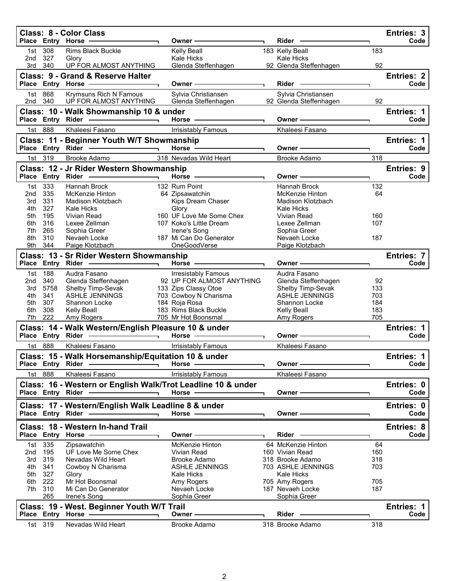|                 |                        | <b>Class: 8 - Color Class</b><br>Place Entry Horse -                |    | Owner -                                    | Rider -                                       |            | Entries: 3<br>Code        |
|-----------------|------------------------|---------------------------------------------------------------------|----|--------------------------------------------|-----------------------------------------------|------------|---------------------------|
| 1st<br>2nd      | 308<br>327             | Rims Black Buckle<br>Glory                                          |    | Kelly Beall<br>Kale Hicks                  | 183 Kelly Beall<br>Kale Hicks                 | 183        |                           |
| 3rd             | 340                    | UP FOR ALMOST ANYTHING                                              |    | Glenda Steffenhagen                        | 92 Glenda Steffenhagen                        | 92         |                           |
|                 | Place Entry Horse      | <b>Class: 9 - Grand &amp; Reserve Halter</b>                        |    | Owner -                                    | Rider                                         |            | <b>Entries: 2</b><br>Code |
|                 | 1st 868<br>2nd 340     | Krymsuns Rich N Famous<br>UP FOR ALMOST ANYTHING                    |    | Sylvia Christiansen<br>Glenda Steffenhagen | Sylvia Christiansen<br>92 Glenda Steffenhagen | 92         |                           |
|                 | Place Entry Rider      | Class: 10 - Walk Showmanship 10 & under<br>$\overline{\phantom{0}}$ |    | Horse -                                    | Owner -                                       |            | Entries: 1<br>Code        |
|                 | 1st 888                | Khaleesi Fasano                                                     |    | <b>Irrisistably Famous</b>                 | Khaleesi Fasano                               |            |                           |
|                 |                        | Class: 11 - Beginner Youth W/T Showmanship                          |    |                                            |                                               |            | <b>Entries: 1</b>         |
|                 |                        | Place Entry Rider                                                   |    | Horse -                                    | Owner -                                       |            | Code                      |
|                 | 1st 319                | Brooke Adamo                                                        |    | 318 Nevadas Wild Heart                     | Brooke Adamo                                  | 318        |                           |
|                 |                        | Class: 12 - Jr Rider Western Showmanship                            |    |                                            |                                               |            | Entries: 9                |
|                 | Place Entry Rider      |                                                                     |    | Horse ·                                    | Owner                                         |            | Code                      |
| 1st             | 333                    | Hannah Brock                                                        |    | 132 Rum Point                              | <b>Hannah Brock</b>                           | 132        |                           |
| 2nd             | 335                    | McKenzie Hinton                                                     |    | 64 Zipsawatchin                            | McKenzie Hinton                               | 64         |                           |
| 3rd             | 331                    | Madison Klotzbach                                                   |    | Kips Dream Chaser                          | Madison Klotzbach                             |            |                           |
| 4th             | 327                    | Kale Hicks                                                          |    | Glory<br>160 UF Love Me Some Chex          | Kale Hicks<br>Vivian Read                     |            |                           |
| 5th<br>6th      | 195<br>316             | Vivian Read<br>Lexee Zellman                                        |    | 107 Koko's Little Dream                    | Lexee Zellman                                 | 160<br>107 |                           |
| 7th             | 265                    | Sophia Greer                                                        |    | Irene's Song                               | Sophia Greer                                  |            |                           |
| 8th             | 310                    | Nevaeh Locke                                                        |    | 187 Mi Can Do Generator                    | Nevaeh Locke                                  | 187        |                           |
| 9th             | 344                    | Paige Klotzbach                                                     |    | OneGoodVerse                               | Paige Klotzbach                               |            |                           |
|                 |                        | Class: 13 - Sr Rider Western Showmanship                            |    |                                            |                                               |            | Entries: 7                |
| <b>Place</b>    |                        | Entry Rider - 2000                                                  | ┑. | Horse $-$                                  | Owner -                                       |            | Code                      |
| 1st             | 188                    | Audra Fasano                                                        |    | <b>Irresistably Famous</b>                 | Audra Fasano                                  |            |                           |
| 2 <sub>nd</sub> | 340                    | Glenda Steffenhagen                                                 |    | 92 UP FOR ALMOST ANYTHING                  | Glenda Steffenhagen                           | 92         |                           |
| 3rd             | 5758                   | Shelby Timp-Sevak                                                   |    | 133 Zips Classy Otoe                       | Shelby Timp-Sevak                             | 133        |                           |
| 4th             | 341                    | <b>ASHLE JENNINGS</b>                                               |    | 703 Cowboy N Charisma                      | <b>ASHLE JENNINGS</b>                         | 703        |                           |
| 5th             | 307                    | Shannon Locke                                                       |    | 184 Roja Rosa                              | Shannon Locke                                 | 184        |                           |
| 6th             | 308                    | <b>Kelly Beall</b>                                                  |    | 183 Rims Black Buckle                      | <b>Kelly Beall</b>                            | 183        |                           |
| 7th             | 222                    | Amy Rogers                                                          |    | 705 Mr Hot Boonsmal                        | Amy Rogers                                    | 705        |                           |
|                 |                        | Class: 14 - Walk Western/English Pleasure 10 & under                |    |                                            |                                               |            | <b>Entries: 1</b>         |
|                 |                        | Place Entry Rider -                                                 |    | Horse -                                    | Owner -                                       |            | Code                      |
|                 | 1st 888                | Khaleesi Fasano                                                     |    | <b>Irrisistably Famous</b>                 | Khaleesi Fasano                               |            |                           |
|                 |                        | Class: 15 - Walk Horsemanship/Equitation 10 & under                 |    |                                            |                                               |            | Entries: 1                |
|                 | Place Entry Rider      |                                                                     |    | <b>Horse</b>                               | Owner -                                       |            | Code                      |
|                 | 1st 888                | Khaleesi Fasano                                                     |    | Irrisistably Famous                        | Khaleesi Fasano                               |            |                           |
|                 |                        | Class: 16 - Western or English Walk/Trot Leadline 10 & under        |    |                                            |                                               |            | Entries: 0                |
|                 | Place Entry Rider      |                                                                     |    | <b>Horse</b>                               | Owner-                                        |            | Code                      |
|                 |                        |                                                                     |    |                                            |                                               |            |                           |
|                 | Place Entry Rider      | Class: 17 - Western/English Walk Leadline 8 & under                 |    |                                            |                                               |            | Entries: 0<br>Code        |
|                 |                        |                                                                     |    | Horse $-$                                  | Owner -                                       |            |                           |
|                 |                        | Class: 18 - Western In-hand Trail                                   |    |                                            |                                               |            | Entries: 8                |
|                 |                        | Place Entry Horse                                                   |    | Owner -                                    | Rider                                         |            | Code                      |
|                 | 1st 335                | Zipsawatchin                                                        |    | McKenzie Hinton                            | 64 McKenzie Hinton                            | 64         |                           |
| 2nd             | 195                    | UF Love Me Some Chex                                                |    | Vivian Read                                | 160 Vivian Read                               | 160        |                           |
| 3rd             | 319                    | Nevadas Wild Heart                                                  |    | Brooke Adamo                               | 318 Brooke Adamo                              | 318        |                           |
| 4th             | 341                    | Cowboy N Charisma                                                   |    | <b>ASHLE JENNINGS</b>                      | 703 ASHLE JENNINGS                            | 703        |                           |
| 5th             | 327                    | Glory                                                               |    | Kale Hicks                                 | Kale Hicks                                    |            |                           |
| 6th<br>7th      | 222<br>310             | Mr Hot Boonsmal<br>Mi Can Do Generator                              |    | Amy Rogers<br>Nevaeh Locke                 | 705 Amy Rogers<br>187 Nevaeh Locke            | 705<br>187 |                           |
|                 | 265                    | Irene's Song                                                        |    | Sophia Greer                               | Sophia Greer                                  |            |                           |
|                 |                        |                                                                     |    |                                            |                                               |            | <b>Entries: 1</b>         |
|                 |                        | Class: 19 - West. Beginner Youth W/T Trail                          |    | Owner -                                    | Rider                                         |            | Code                      |
|                 |                        |                                                                     |    |                                            |                                               |            |                           |
|                 | Place Entry<br>1st 319 | Horse -<br>Nevadas Wild Heart                                       |    | Brooke Adamo                               | 318 Brooke Adamo                              | 318        |                           |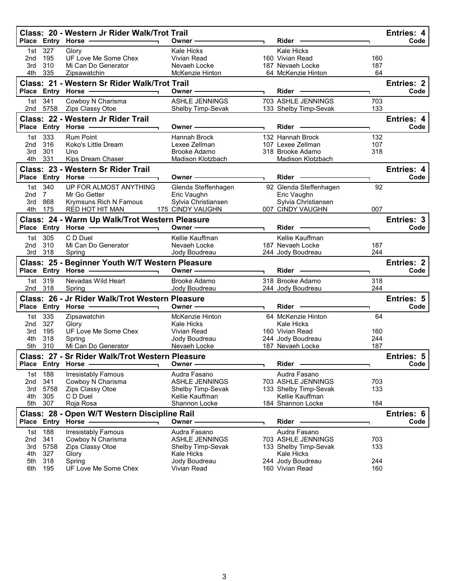|                                                                      |                | Class: 20 - Western Jr Rider Walk/Trot Trail    |                                        |  |                                        |           | Entries: 4        |
|----------------------------------------------------------------------|----------------|-------------------------------------------------|----------------------------------------|--|----------------------------------------|-----------|-------------------|
|                                                                      |                | Place Entry Horse -                             | Owner-                                 |  | Rider -                                |           | Code              |
| 1st                                                                  | 327            | Glory                                           | Kale Hicks                             |  | <b>Kale Hicks</b>                      |           |                   |
| 2nd                                                                  | 195            | UF Love Me Some Chex                            | Vivian Read                            |  | 160 Vivian Read                        | 160       |                   |
| 3rd<br>4th                                                           | 310<br>335     | Mi Can Do Generator<br>Zipsawatchin             | Nevaeh Locke<br><b>McKenzie Hinton</b> |  | 187 Nevaeh Locke<br>64 McKenzie Hinton | 187<br>64 |                   |
|                                                                      |                |                                                 |                                        |  |                                        |           |                   |
|                                                                      |                | Class: 21 - Western Sr Rider Walk/Trot Trail    |                                        |  |                                        |           | <b>Entries: 2</b> |
| Place                                                                |                | Entry Horse                                     | Owner -                                |  | Rider -                                |           | Code              |
| 1st                                                                  | 341            | Cowboy N Charisma                               | <b>ASHLE JENNINGS</b>                  |  | 703 ASHLE JENNINGS                     | 703       |                   |
| 2nd                                                                  | 5758           | Zips Classy Otoe                                | Shelby Timp-Sevak                      |  | 133 Shelby Timp-Sevak                  | 133       |                   |
|                                                                      |                | Class: 22 - Western Jr Rider Trail              |                                        |  |                                        |           | Entries: 4        |
|                                                                      |                | Place Entry Horse -                             | Owner-                                 |  | Rider -                                |           | Code              |
| 1st                                                                  | 333            | <b>Rum Point</b>                                | Hannah Brock                           |  | 132 Hannah Brock                       | 132       |                   |
| 2nd                                                                  | 316            | Koko's Little Dream                             | Lexee Zellman                          |  | 107 Lexee Zellman                      | 107       |                   |
| 3rd                                                                  | 301            | Uno                                             | Brooke Adamo                           |  | 318 Brooke Adamo                       | 318       |                   |
| 4th.                                                                 | 331            | Kips Dream Chaser                               | Madison Klotzbach                      |  | Madison Klotzbach                      |           |                   |
|                                                                      |                | Class: 23 - Western Sr Rider Trail              |                                        |  |                                        |           | Entries: 4        |
|                                                                      |                | Place Entry Horse -                             | Owner -                                |  | Rider -                                |           | Code              |
| 1st                                                                  | 340            | UP FOR ALMOST ANYTHING                          | Glenda Steffenhagen                    |  | 92 Glenda Steffenhagen                 | 92        |                   |
| 2nd                                                                  | $7\phantom{0}$ | Mr Go Getter                                    | Eric Vaughn                            |  | Eric Vaughn                            |           |                   |
| 3rd                                                                  | 868            | Krymsuns Rich N Famous                          | Sylvia Christiansen                    |  | Sylvia Christiansen                    |           |                   |
| 4th                                                                  | 175            | RED HOT HIT MAN                                 | 175 CINDY VAUGHN                       |  | 007 CINDY VAUGHN                       | 007       |                   |
|                                                                      |                | Class: 24 - Warm Up Walk/Trot Western Pleasure  |                                        |  |                                        |           | <b>Entries: 3</b> |
| Place                                                                |                | Entry Horse -                                   | Owner -                                |  | <b>Rider</b>                           |           | Code              |
| 1st                                                                  | 305            | C D Duel                                        | Kellie Kauffman                        |  | Kellie Kauffman                        |           |                   |
| 2nd                                                                  | 310            | Mi Can Do Generator                             | Nevaeh Locke                           |  | 187 Nevaeh Locke                       | 187       |                   |
| 3rd                                                                  | 318            | Spring                                          | Jody Boudreau                          |  | 244 Jody Boudreau                      | 244       |                   |
| <b>Entries: 2</b><br>Class: 25 - Beginner Youth W/T Western Pleasure |                |                                                 |                                        |  |                                        |           |                   |
|                                                                      |                | Place Entry Horse ------------                  | Owner $\longrightarrow$                |  | Rider -                                |           | Code              |
|                                                                      | 1st 319        | Nevadas Wild Heart                              | Brooke Adamo                           |  | 318 Brooke Adamo                       | 318       |                   |
|                                                                      | 2nd 318        | Spring                                          | Jody Boudreau                          |  | 244 Jody Boudreau                      | 244       |                   |
|                                                                      |                | Class: 26 - Jr Rider Walk/Trot Western Pleasure |                                        |  |                                        |           | Entries: 5        |
|                                                                      |                | Place Entry Horse - The Manager                 | Owner $-$                              |  | <b>Rider</b>                           |           | Code              |
| 1st                                                                  | 335            | Zipsawatchin                                    | <b>McKenzie Hinton</b>                 |  | 64 McKenzie Hinton                     | 64        |                   |
| 2nd                                                                  | 327            | Glory                                           | <b>Kale Hicks</b>                      |  | <b>Kale Hicks</b>                      |           |                   |
| 3rd                                                                  | 195            | UF Love Me Some Chex                            | <b>Vivian Read</b>                     |  | 160 Vivian Read                        | 160       |                   |
| 4th                                                                  | 318            | Spring                                          | Jody Boudreau                          |  | 244 Jody Boudreau                      | 244       |                   |
| 5th                                                                  | 310            | Mi Can Do Generator                             | Nevaeh Locke                           |  | 187 Nevaeh Locke                       | 187       |                   |
|                                                                      |                | Class: 27 - Sr Rider Walk/Trot Western Pleasure |                                        |  |                                        |           | Entries: 5        |
| <b>Place</b>                                                         |                | <b>Entry Horse</b>                              | Owner                                  |  | Rider                                  |           | Code              |
| 1st                                                                  | 188            | <b>Irresistably Famous</b>                      | Audra Fasano                           |  | Audra Fasano                           |           |                   |
| 2nd                                                                  | 341            | Cowboy N Charisma                               | <b>ASHLE JENNINGS</b>                  |  | 703 ASHLE JENNINGS                     | 703       |                   |
| 3rd                                                                  | 5758           | Zips Classy Otoe                                | Shelby Timp-Sevak                      |  | 133 Shelby Timp-Sevak                  | 133       |                   |
| 4th                                                                  | 305            | C D Duel                                        | Kellie Kauffman                        |  | Kellie Kauffman                        |           |                   |
| 5th                                                                  | 307            | Roja Rosa                                       | Shannon Locke                          |  | 184 Shannon Locke                      | 184       |                   |
|                                                                      |                | Class: 28 - Open W/T Western Discipline Rail    |                                        |  |                                        |           | Entries: 6        |
| <b>Place</b>                                                         |                | <b>Entry Horse</b>                              | Owner -                                |  | Rider                                  |           | Code              |
| 1st                                                                  | 188            | <b>Irresistably Famous</b>                      | Audra Fasano                           |  | Audra Fasano                           |           |                   |
| 2nd                                                                  | 341            | Cowboy N Charisma                               | <b>ASHLE JENNINGS</b>                  |  | 703 ASHLE JENNINGS                     | 703       |                   |
| 3rd                                                                  | 5758           | Zips Classy Otoe                                | Shelby Timp-Sevak                      |  | 133 Shelby Timp-Sevak                  | 133       |                   |
| 4th                                                                  | 327<br>318     | Glory                                           | <b>Kale Hicks</b>                      |  | Kale Hicks<br>244 Jody Boudreau        | 244       |                   |
| 5th<br>6th                                                           | 195            | Spring<br>UF Love Me Some Chex                  | Jody Boudreau<br>Vivian Read           |  | 160 Vivian Read                        | 160       |                   |
|                                                                      |                |                                                 |                                        |  |                                        |           |                   |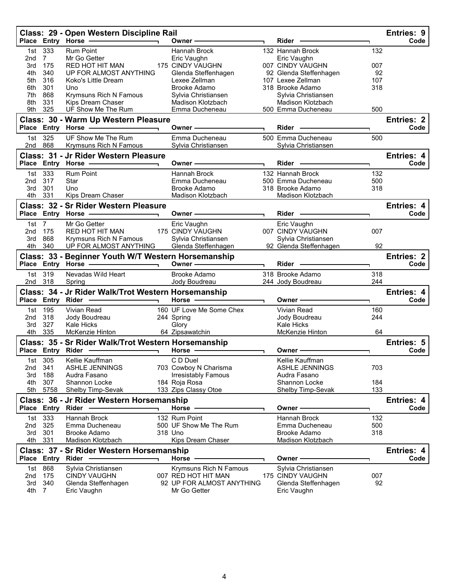|                 |                   | Class: 29 - Open Western Discipline Rail<br>Place Entry Horse - | Owner-                                        | Rider                                   |     | <b>Entries: 9</b><br>Code |
|-----------------|-------------------|-----------------------------------------------------------------|-----------------------------------------------|-----------------------------------------|-----|---------------------------|
|                 |                   |                                                                 |                                               |                                         |     |                           |
| 1st             | 333               | <b>Rum Point</b>                                                | Hannah Brock                                  | 132 Hannah Brock                        | 132 |                           |
| 2nd<br>3rd      | 7<br>175          | Mr Go Getter<br><b>RED HOT HIT MAN</b>                          | Eric Vaughn<br>175 CINDY VAUGHN               | Eric Vaughn<br>007 CINDY VAUGHN         | 007 |                           |
| 4th             | 340               | UP FOR ALMOST ANYTHING                                          | Glenda Steffenhagen                           | 92 Glenda Steffenhagen                  | 92  |                           |
| 5th             | 316               | Koko's Little Dream                                             | Lexee Zellman                                 | 107 Lexee Zellman                       | 107 |                           |
| 6th             | 301               | Uno                                                             | Brooke Adamo                                  | 318 Brooke Adamo                        | 318 |                           |
| 7th             | 868               | Krymsuns Rich N Famous                                          | Sylvia Christiansen                           | Sylvia Christiansen                     |     |                           |
| 8th             | 331               | Kips Dream Chaser                                               | Madison Klotzbach                             | <b>Madison Klotzbach</b>                |     |                           |
| 9th             | 325               | UF Show Me The Rum                                              | Emma Ducheneau                                | 500 Emma Ducheneau                      | 500 |                           |
|                 |                   | Class: 30 - Warm Up Western Pleasure                            |                                               |                                         |     | <b>Entries: 2</b>         |
|                 |                   | Place Entry Horse -                                             | Owner-                                        | Rider                                   |     | Code                      |
| 1st             | 325               | UF Show Me The Rum                                              | Emma Ducheneau                                | 500 Emma Ducheneau                      | 500 |                           |
| 2nd             | 868               | Krymsuns Rich N Famous                                          | Sylvia Christiansen                           | Sylvia Christiansen                     |     |                           |
|                 |                   | Class: 31 - Jr Rider Western Pleasure                           |                                               |                                         |     | Entries: 4                |
|                 |                   | Place Entry Horse                                               | Owner -                                       | <b>Rider</b>                            |     | Code                      |
|                 |                   |                                                                 |                                               |                                         |     |                           |
| 1st             | 333               | <b>Rum Point</b>                                                | Hannah Brock                                  | 132 Hannah Brock                        | 132 |                           |
| 2nd             | 317               | Star                                                            | Emma Ducheneau                                | 500 Emma Ducheneau                      | 500 |                           |
| 3rd<br>4th      | 301<br>331        | Uno<br>Kips Dream Chaser                                        | Brooke Adamo<br>Madison Klotzbach             | 318 Brooke Adamo<br>Madison Klotzbach   | 318 |                           |
|                 |                   |                                                                 |                                               |                                         |     |                           |
|                 |                   | <b>Class: 32 - Sr Rider Western Pleasure</b>                    |                                               |                                         |     | Entries: 4                |
|                 |                   | Place Entry Horse                                               | Owner-                                        | Rider -                                 |     | Code                      |
| 1st             | $\overline{7}$    | Mr Go Getter                                                    | Eric Vaughn                                   | Eric Vaughn                             |     |                           |
| 2nd             | 175               | RED HOT HIT MAN                                                 | 175 CINDY VAUGHN                              | 007 CINDY VAUGHN                        | 007 |                           |
| 3rd             | 868               | Krymsuns Rich N Famous                                          | Sylvia Christiansen                           | Sylvia Christiansen                     |     |                           |
| 4th             | 340               | UP FOR ALMOST ANYTHING                                          | Glenda Steffenhagen                           | 92 Glenda Steffenhagen                  | 92  |                           |
|                 |                   | Class: 33 - Beginner Youth W/T Western Horsemanship             |                                               |                                         |     | <b>Entries: 2</b>         |
|                 |                   | Place Entry Horse -                                             | Owner-                                        | <b>Rider</b>                            |     | Code                      |
| 1st             | 319               | Nevadas Wild Heart                                              | <b>Brooke Adamo</b>                           | 318 Brooke Adamo                        | 318 |                           |
| 2nd             | 318               | Spring                                                          | Jody Boudreau                                 | 244 Jody Boudreau                       | 244 |                           |
|                 |                   | Class: 34 - Jr Rider Walk/Trot Western Horsemanship             |                                               |                                         |     | Entries: 4                |
|                 | Place Entry Rider |                                                                 | Horse -                                       | Owner <b>·</b>                          |     | Code                      |
| 1st             | 195               | Vivian Read                                                     | 160 UF Love Me Some Chex                      | Vivian Read                             |     |                           |
| 2nd             | 318               |                                                                 |                                               |                                         |     |                           |
| 3rd             |                   |                                                                 |                                               |                                         | 160 |                           |
|                 |                   | Jody Boudreau                                                   | 244 Spring                                    | Jody Boudreau                           | 244 |                           |
|                 | 327               | Kale Hicks                                                      | Glory                                         | Kale Hicks                              |     |                           |
| 4th             | 335               | McKenzie Hinton                                                 | 64 Zipsawatchin                               | McKenzie Hinton                         | 64  |                           |
|                 |                   | Class: 35 - Sr Rider Walk/Trot Western Horsemanship             |                                               |                                         |     | <b>Entries: 5</b>         |
|                 |                   | Place Entry Rider                                               | Horse -                                       | Owner -                                 |     | Code                      |
| 1st             | 305               | Kellie Kauffman                                                 | C D Duel                                      | Kellie Kauffman                         |     |                           |
| 2nd             | 341               | <b>ASHLE JENNINGS</b>                                           | 703 Cowboy N Charisma                         | <b>ASHLE JENNINGS</b>                   | 703 |                           |
| 3rd             | 188               | Audra Fasano                                                    | <b>Irresistably Famous</b>                    | Audra Fasano                            |     |                           |
| 4th             | 307               | Shannon Locke                                                   | 184 Roja Rosa                                 | Shannon Locke                           | 184 |                           |
| 5th             | 5758              | Shelby Timp-Sevak                                               | 133 Zips Classy Otoe                          | Shelby Timp-Sevak                       | 133 |                           |
|                 |                   | Class: 36 - Jr Rider Western Horsemanship                       |                                               |                                         |     | Entries: 4                |
| <b>Place</b>    | Entry             | Rider                                                           | <b>Horse</b>                                  | Owner                                   |     | Code                      |
| 1st             | 333               | Hannah Brock                                                    | 132 Rum Point                                 | Hannah Brock                            | 132 |                           |
| 2 <sub>nd</sub> | 325               | Emma Ducheneau                                                  | 500 UF Show Me The Rum                        | Emma Ducheneau                          | 500 |                           |
| 3rd             | 301               | Brooke Adamo                                                    | 318 Uno                                       | <b>Brooke Adamo</b>                     | 318 |                           |
| 4th             | 331               | Madison Klotzbach                                               | Kips Dream Chaser                             | Madison Klotzbach                       |     |                           |
|                 |                   | Class: 37 - Sr Rider Western Horsemanship                       |                                               |                                         |     | Entries: 4                |
| <b>Place</b>    | Entry Rider       |                                                                 | Horse                                         | Owner -                                 |     | Code                      |
|                 |                   |                                                                 |                                               |                                         |     |                           |
| 1st<br>2nd      | 868<br>175        | Sylvia Christiansen<br><b>CINDY VAUGHN</b>                      | Krymsuns Rich N Famous<br>007 RED HOT HIT MAN | Sylvia Christiansen<br>175 CINDY VAUGHN | 007 |                           |
| 3rd             | 340               | Glenda Steffenhagen                                             | 92 UP FOR ALMOST ANYTHING                     | Glenda Steffenhagen                     | 92  |                           |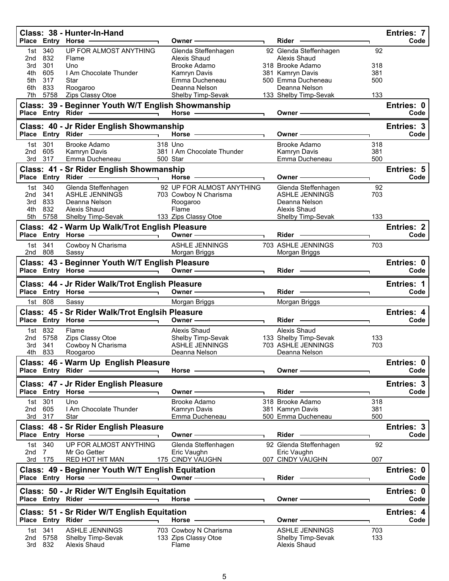|                 |                           | Class: 38 - Hunter-In-Hand<br>Place Entry Horse                                                                                                                                                                                | Owner -                                                                                                                                                                                                                        | Rider -                                                                                                                                                                                                                              |            | Entries: 7<br>Code        |
|-----------------|---------------------------|--------------------------------------------------------------------------------------------------------------------------------------------------------------------------------------------------------------------------------|--------------------------------------------------------------------------------------------------------------------------------------------------------------------------------------------------------------------------------|--------------------------------------------------------------------------------------------------------------------------------------------------------------------------------------------------------------------------------------|------------|---------------------------|
| 1st             | 340                       | UP FOR ALMOST ANYTHING                                                                                                                                                                                                         | Glenda Steffenhagen                                                                                                                                                                                                            | 92 Glenda Steffenhagen                                                                                                                                                                                                               | 92         |                           |
| 2nd             | 832                       | Flame                                                                                                                                                                                                                          | Alexis Shaud                                                                                                                                                                                                                   | Alexis Shaud                                                                                                                                                                                                                         |            |                           |
| 3rd<br>4th      | 301<br>605                | Uno<br>I Am Chocolate Thunder                                                                                                                                                                                                  | Brooke Adamo<br>Kamryn Davis                                                                                                                                                                                                   | 318 Brooke Adamo<br>381 Kamryn Davis                                                                                                                                                                                                 | 318<br>381 |                           |
| 5th             | 317                       | Star                                                                                                                                                                                                                           | Emma Ducheneau                                                                                                                                                                                                                 | 500 Emma Ducheneau                                                                                                                                                                                                                   | 500        |                           |
| 6th             | 833                       | Roogaroo                                                                                                                                                                                                                       | Deanna Nelson                                                                                                                                                                                                                  | Deanna Nelson                                                                                                                                                                                                                        |            |                           |
|                 | 7th 5758                  | Zips Classy Otoe                                                                                                                                                                                                               | <b>Shelby Timp-Sevak</b>                                                                                                                                                                                                       | 133 Shelby Timp-Sevak                                                                                                                                                                                                                | 133        |                           |
|                 |                           | Class: 39 - Beginner Youth W/T English Showmanship                                                                                                                                                                             | Horse —                                                                                                                                                                                                                        | Owner-                                                                                                                                                                                                                               |            | Entries: 0<br>Code        |
|                 |                           | Class: 40 - Jr Rider English Showmanship                                                                                                                                                                                       |                                                                                                                                                                                                                                |                                                                                                                                                                                                                                      |            | Entries: 3                |
|                 |                           | Place Entry Rider - Fig. 2014                                                                                                                                                                                                  | Horse - The Management of the Management of the Management of the Management of the Management of the Management of the Management of the Management of the Management of the Management of the Management of the Management o | Owner -                                                                                                                                                                                                                              |            | Code                      |
|                 | 1st 301                   | Brooke Adamo                                                                                                                                                                                                                   | 318 Uno                                                                                                                                                                                                                        | Brooke Adamo                                                                                                                                                                                                                         | 318        |                           |
| 2nd             | 605<br>3rd 317            | Kamryn Davis<br>Emma Ducheneau                                                                                                                                                                                                 | 381   Am Chocolate Thunder<br>500 Star                                                                                                                                                                                         | Kamryn Davis<br>Emma Ducheneau                                                                                                                                                                                                       | 381<br>500 |                           |
|                 |                           | Class: 41 - Sr Rider English Showmanship                                                                                                                                                                                       |                                                                                                                                                                                                                                |                                                                                                                                                                                                                                      |            | Entries: 5                |
|                 |                           | Place Entry Rider - Fig. 2014                                                                                                                                                                                                  | Horse -                                                                                                                                                                                                                        | Owner -                                                                                                                                                                                                                              |            | Code                      |
|                 | 1st 340                   | Glenda Steffenhagen                                                                                                                                                                                                            | 92 UP FOR ALMOST ANYTHING                                                                                                                                                                                                      | Glenda Steffenhagen                                                                                                                                                                                                                  | 92         |                           |
| 2nd             | 341                       | ASHLE JENNINGS                                                                                                                                                                                                                 | 703 Cowboy N Charisma                                                                                                                                                                                                          | ASHLE JENNINGS                                                                                                                                                                                                                       | 703        |                           |
| 3rd<br>4th      | 833<br>832                | Deanna Nelson<br>Alexis Shaud                                                                                                                                                                                                  | Roogaroo<br>Flame                                                                                                                                                                                                              | Deanna Nelson<br>Alexis Shaud                                                                                                                                                                                                        |            |                           |
|                 | 5th 5758                  | Shelby Timp-Sevak                                                                                                                                                                                                              | 133 Zips Classy Otoe                                                                                                                                                                                                           | Shelby Timp-Sevak                                                                                                                                                                                                                    | 133        |                           |
|                 |                           | Class: 42 - Warm Up Walk/Trot English Pleasure                                                                                                                                                                                 |                                                                                                                                                                                                                                |                                                                                                                                                                                                                                      |            | <b>Entries: 2</b>         |
|                 |                           | Place Entry Horse - and the control of the state of the state of the state of the state of the state of the state of the state of the state of the state of the state of the state of the state of the state of the state of t | Owner -                                                                                                                                                                                                                        | Rider -                                                                                                                                                                                                                              |            | Code                      |
|                 | 1st 341                   | Cowboy N Charisma                                                                                                                                                                                                              | ASHLE JENNINGS                                                                                                                                                                                                                 | 703 ASHLE JENNINGS                                                                                                                                                                                                                   | 703        |                           |
|                 | 2nd 808                   | Sassy                                                                                                                                                                                                                          | Morgan Briggs                                                                                                                                                                                                                  | Morgan Briggs                                                                                                                                                                                                                        |            |                           |
|                 |                           | Class: 43 - Beginner Youth W/T English Pleasure                                                                                                                                                                                | Owner - The Committee of the Committee of the Committee of the Committee of the Committee of the Committee of the Committee of the Committee of the Committee of the Committee of the Committee of the Committee of the Commit |                                                                                                                                                                                                                                      |            | Entries: 0<br>Code        |
|                 |                           |                                                                                                                                                                                                                                |                                                                                                                                                                                                                                | Rider <b>Contract Contract Contract Contract Contract Contract Contract Contract Contract Contract Contract Contract Contract Contract Contract Contract Contract Contract Contract Contract Contract Contract Contract Contract</b> |            |                           |
|                 |                           | Class: 44 - Jr Rider Walk/Trot English Pleasure                                                                                                                                                                                |                                                                                                                                                                                                                                |                                                                                                                                                                                                                                      |            | <b>Entries: 1</b>         |
|                 |                           |                                                                                                                                                                                                                                | Owner -                                                                                                                                                                                                                        | $Rider -$                                                                                                                                                                                                                            |            | Code                      |
|                 | 1st 808                   | Sassy                                                                                                                                                                                                                          | Morgan Briggs                                                                                                                                                                                                                  | Morgan Briggs                                                                                                                                                                                                                        |            |                           |
|                 |                           | Class: 45 - Sr Rider Walk/Trot Englsih Pleasure<br>Place Entry Horse -                                                                                                                                                         | Owner-                                                                                                                                                                                                                         | Rider -                                                                                                                                                                                                                              |            | <b>Entries: 4</b><br>Code |
|                 | 1st 832                   | Flame                                                                                                                                                                                                                          | Alexis Shaud                                                                                                                                                                                                                   | Alexis Shaud                                                                                                                                                                                                                         |            |                           |
| 2nd             | 5758                      | Zips Classy Otoe                                                                                                                                                                                                               | Shelby Timp-Sevak                                                                                                                                                                                                              | 133 Shelby Timp-Sevak                                                                                                                                                                                                                | 133        |                           |
| 3rd             | 341                       | Cowboy N Charisma                                                                                                                                                                                                              | <b>ASHLE JENNINGS</b>                                                                                                                                                                                                          | 703 ASHLE JENNINGS                                                                                                                                                                                                                   | 703        |                           |
| 4th             | 833                       | Roogaroo                                                                                                                                                                                                                       | Deanna Nelson                                                                                                                                                                                                                  | Deanna Nelson                                                                                                                                                                                                                        |            |                           |
|                 | Place Entry Rider         | Class: 46 - Warm Up English Pleasure                                                                                                                                                                                           | Horse $-$                                                                                                                                                                                                                      | Owner-                                                                                                                                                                                                                               |            | Entries: 0<br>Code        |
|                 |                           |                                                                                                                                                                                                                                |                                                                                                                                                                                                                                |                                                                                                                                                                                                                                      |            |                           |
|                 |                           | Class: 47 - Jr Rider English Pleasure<br>Place Entry Horse -                                                                                                                                                                   | Owner -                                                                                                                                                                                                                        | Rider                                                                                                                                                                                                                                |            | Entries: 3<br>Code        |
|                 | 1st 301                   | Uno                                                                                                                                                                                                                            | <b>Brooke Adamo</b>                                                                                                                                                                                                            | 318 Brooke Adamo                                                                                                                                                                                                                     |            |                           |
| 2nd             | 605                       | I Am Chocolate Thunder                                                                                                                                                                                                         | Kamryn Davis                                                                                                                                                                                                                   | 381 Kamryn Davis                                                                                                                                                                                                                     | 318<br>381 |                           |
|                 | 3rd 317                   | Star                                                                                                                                                                                                                           | Emma Ducheneau                                                                                                                                                                                                                 | 500 Emma Ducheneau                                                                                                                                                                                                                   | 500        |                           |
|                 |                           | Class: 48 - Sr Rider English Pleasure                                                                                                                                                                                          |                                                                                                                                                                                                                                |                                                                                                                                                                                                                                      |            | Entries: 3                |
|                 |                           | Place Entry Horse                                                                                                                                                                                                              | Owner –                                                                                                                                                                                                                        | Rider -                                                                                                                                                                                                                              |            | Code                      |
| 2 <sub>nd</sub> | 1st 340<br>$\overline{7}$ | UP FOR ALMOST ANYTHING<br>Mr Go Getter                                                                                                                                                                                         | Glenda Steffenhagen<br>Eric Vaughn                                                                                                                                                                                             | 92 Glenda Steffenhagen<br>Eric Vaughn                                                                                                                                                                                                | 92         |                           |
|                 | 3rd 175                   | RED HOT HIT MAN                                                                                                                                                                                                                | 175 CINDY VAUGHN                                                                                                                                                                                                               | 007 CINDY VAUGHN                                                                                                                                                                                                                     | 007        |                           |
|                 |                           | Class: 49 - Beginner Youth W/T English Equitation                                                                                                                                                                              |                                                                                                                                                                                                                                |                                                                                                                                                                                                                                      |            | Entries: 0                |
|                 |                           | Place Entry Horse -                                                                                                                                                                                                            | Owner $-\!\!-\!\!-$                                                                                                                                                                                                            | $Rider -$                                                                                                                                                                                                                            |            | Code                      |
|                 |                           | Class: 50 - Jr Rider W/T Englsih Equitation<br>Place Entry Rider -                                                                                                                                                             | Horse ———                                                                                                                                                                                                                      |                                                                                                                                                                                                                                      |            | Entries: 0<br>Code        |
|                 |                           |                                                                                                                                                                                                                                |                                                                                                                                                                                                                                | Owner -                                                                                                                                                                                                                              |            |                           |
|                 |                           | Class: 51 - Sr Rider W/T English Equitation                                                                                                                                                                                    |                                                                                                                                                                                                                                |                                                                                                                                                                                                                                      |            | Entries: 4                |
|                 | Place Entry Rider         |                                                                                                                                                                                                                                | Horse -                                                                                                                                                                                                                        | Owner -                                                                                                                                                                                                                              |            | Code                      |
| 1st<br>2nd      | 341<br>5758               | <b>ASHLE JENNINGS</b><br>Shelby Timp-Sevak                                                                                                                                                                                     | 703 Cowboy N Charisma<br>133 Zips Classy Otoe                                                                                                                                                                                  | <b>ASHLE JENNINGS</b><br>Shelby Timp-Sevak                                                                                                                                                                                           | 703<br>133 |                           |
| 3rd             | 832                       | Alexis Shaud                                                                                                                                                                                                                   | Flame                                                                                                                                                                                                                          | Alexis Shaud                                                                                                                                                                                                                         |            |                           |